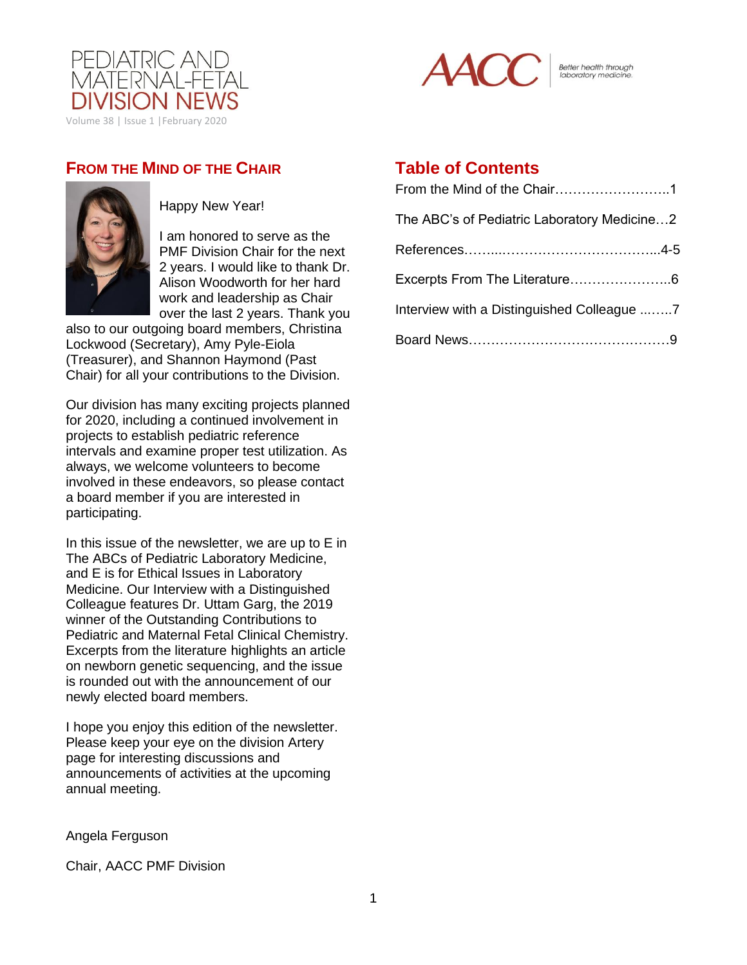



Better health through<br>laboratory medicine.

## **FROM THE MIND OF THE CHAIR**



Happy New Year!

I am honored to serve as the PMF Division Chair for the next 2 years. I would like to thank Dr. Alison Woodworth for her hard work and leadership as Chair over the last 2 years. Thank you

also to our outgoing board members, Christina Lockwood (Secretary), Amy Pyle-Eiola (Treasurer), and Shannon Haymond (Past Chair) for all your contributions to the Division.

Our division has many exciting projects planned for 2020, including a continued involvement in projects to establish pediatric reference intervals and examine proper test utilization. As always, we welcome volunteers to become involved in these endeavors, so please contact a board member if you are interested in participating.

In this issue of the newsletter, we are up to E in The ABCs of Pediatric Laboratory Medicine, and E is for Ethical Issues in Laboratory Medicine. Our Interview with a Distinguished Colleague features Dr. Uttam Garg, the 2019 winner of the Outstanding Contributions to Pediatric and Maternal Fetal Clinical Chemistry. Excerpts from the literature highlights an article on newborn genetic sequencing, and the issue is rounded out with the announcement of our newly elected board members.

I hope you enjoy this edition of the newsletter. Please keep your eye on the division Artery page for interesting discussions and announcements of activities at the upcoming annual meeting.

#### Angela Ferguson

Chair, AACC PMF Division

## **Table of Contents**

| The ABC's of Pediatric Laboratory Medicine2 |
|---------------------------------------------|
|                                             |
|                                             |
| Interview with a Distinguished Colleague 7  |
|                                             |
|                                             |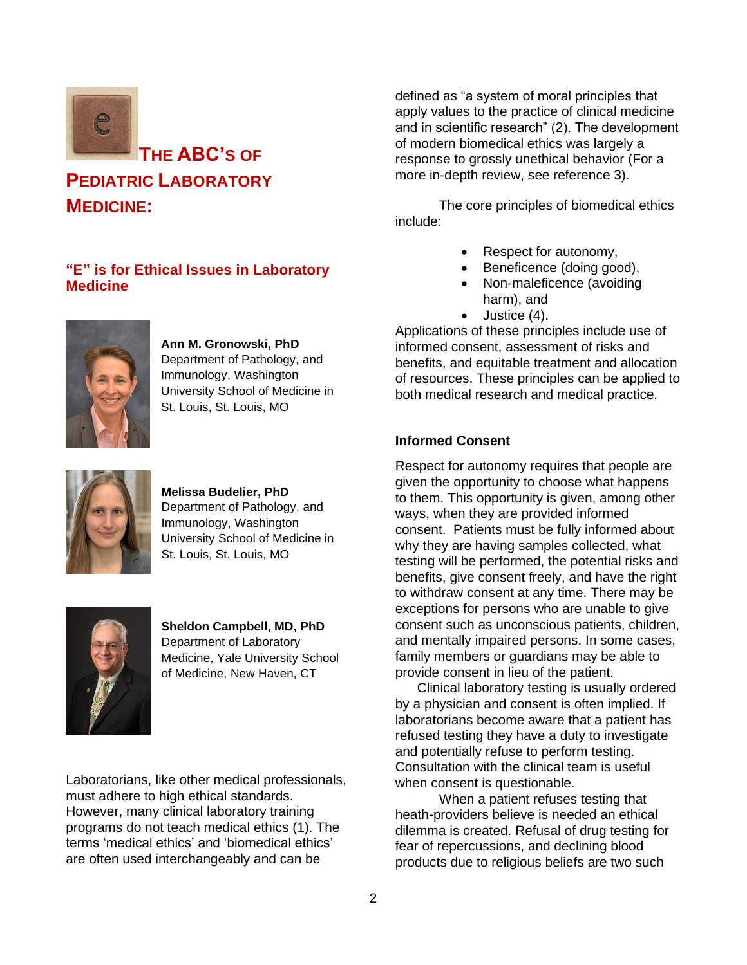

### **"E" is for Ethical Issues in Laboratory Medicine**



**Ann M. Gronowski, PhD** Department of Pathology, and Immunology, Washington University School of Medicine in St. Louis, St. Louis, MO



**Melissa Budelier, PhD** Department of Pathology, and Immunology, Washington University School of Medicine in St. Louis, St. Louis, MO



**Sheldon Campbell, MD, PhD** Department of Laboratory Medicine, Yale University School of Medicine, New Haven, CT

Laboratorians, like other medical professionals, must adhere to high ethical standards. However, many clinical laboratory training programs do not teach medical ethics (1). The terms 'medical ethics' and 'biomedical ethics' are often used interchangeably and can be

defined as "a system of moral principles that apply values to the practice of clinical medicine and in scientific research" (2). The development of modern biomedical ethics was largely a response to grossly unethical behavior (For a more in-depth review, see reference 3).

The core principles of biomedical ethics include:

- Respect for autonomy,
- Beneficence (doing good),
- Non-maleficence (avoiding harm), and
- Justice (4).

Applications of these principles include use of informed consent, assessment of risks and benefits, and equitable treatment and allocation of resources. These principles can be applied to both medical research and medical practice.

### **Informed Consent**

Respect for autonomy requires that people are given the opportunity to choose what happens to them. This opportunity is given, among other ways, when they are provided informed consent. Patients must be fully informed about why they are having samples collected, what testing will be performed, the potential risks and benefits, give consent freely, and have the right to withdraw consent at any time. There may be exceptions for persons who are unable to give consent such as unconscious patients, children, and mentally impaired persons. In some cases, family members or guardians may be able to provide consent in lieu of the patient.

Clinical laboratory testing is usually ordered by a physician and consent is often implied. If laboratorians become aware that a patient has refused testing they have a duty to investigate and potentially refuse to perform testing. Consultation with the clinical team is useful when consent is questionable.

When a patient refuses testing that heath-providers believe is needed an ethical dilemma is created. Refusal of drug testing for fear of repercussions, and declining blood products due to religious beliefs are two such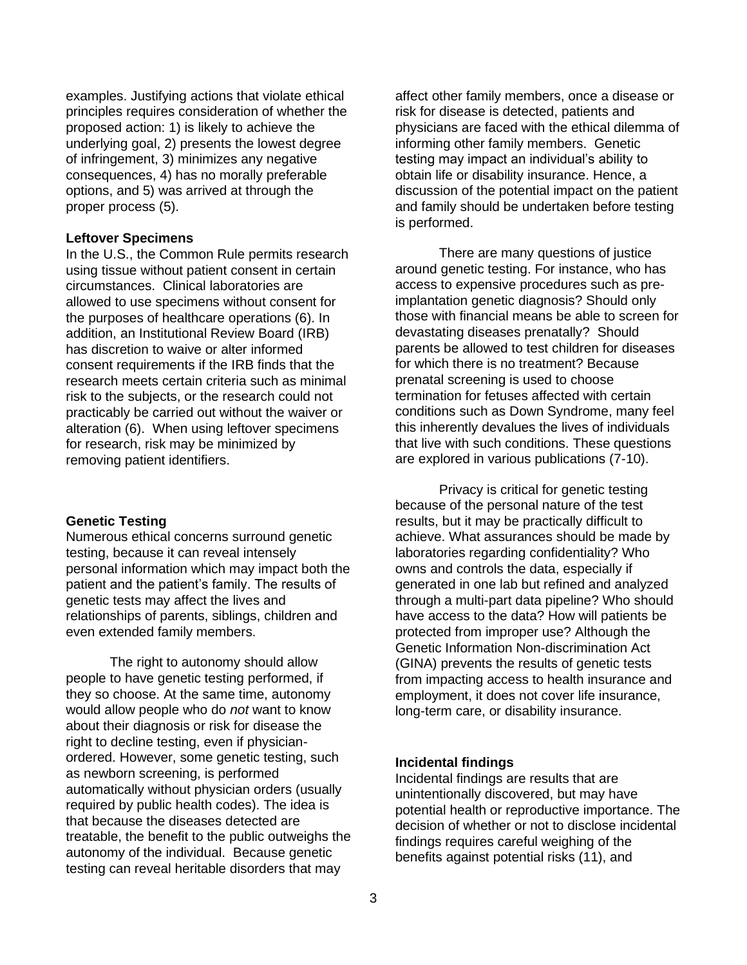examples. Justifying actions that violate ethical principles requires consideration of whether the proposed action: 1) is likely to achieve the underlying goal, 2) presents the lowest degree of infringement, 3) minimizes any negative consequences, 4) has no morally preferable options, and 5) was arrived at through the proper process (5).

#### **Leftover Specimens**

In the U.S., the Common Rule permits research using tissue without patient consent in certain circumstances. Clinical laboratories are allowed to use specimens without consent for the purposes of healthcare operations (6). In addition, an Institutional Review Board (IRB) has discretion to waive or alter informed consent requirements if the IRB finds that the research meets certain criteria such as minimal risk to the subjects, or the research could not practicably be carried out without the waiver or alteration (6). When using leftover specimens for research, risk may be minimized by removing patient identifiers.

#### **Genetic Testing**

Numerous ethical concerns surround genetic testing, because it can reveal intensely personal information which may impact both the patient and the patient's family. The results of genetic tests may affect the lives and relationships of parents, siblings, children and even extended family members.

The right to autonomy should allow people to have genetic testing performed, if they so choose. At the same time, autonomy would allow people who do *not* want to know about their diagnosis or risk for disease the right to decline testing, even if physicianordered. However, some genetic testing, such as newborn screening, is performed automatically without physician orders (usually required by public health codes). The idea is that because the diseases detected are treatable, the benefit to the public outweighs the autonomy of the individual. Because genetic testing can reveal heritable disorders that may

affect other family members, once a disease or risk for disease is detected, patients and physicians are faced with the ethical dilemma of informing other family members. Genetic testing may impact an individual's ability to obtain life or disability insurance. Hence, a discussion of the potential impact on the patient and family should be undertaken before testing is performed.

There are many questions of justice around genetic testing. For instance, who has access to expensive procedures such as preimplantation genetic diagnosis? Should only those with financial means be able to screen for devastating diseases prenatally? Should parents be allowed to test children for diseases for which there is no treatment? Because prenatal screening is used to choose termination for fetuses affected with certain conditions such as Down Syndrome, many feel this inherently devalues the lives of individuals that live with such conditions. These questions are explored in various publications (7-10).

Privacy is critical for genetic testing because of the personal nature of the test results, but it may be practically difficult to achieve. What assurances should be made by laboratories regarding confidentiality? Who owns and controls the data, especially if generated in one lab but refined and analyzed through a multi-part data pipeline? Who should have access to the data? How will patients be protected from improper use? Although the Genetic Information Non-discrimination Act (GINA) prevents the results of genetic tests from impacting access to health insurance and employment, it does not cover life insurance, long-term care, or disability insurance.

#### **Incidental findings**

Incidental findings are results that are unintentionally discovered, but may have potential health or reproductive importance. The decision of whether or not to disclose incidental findings requires careful weighing of the benefits against potential risks (11), and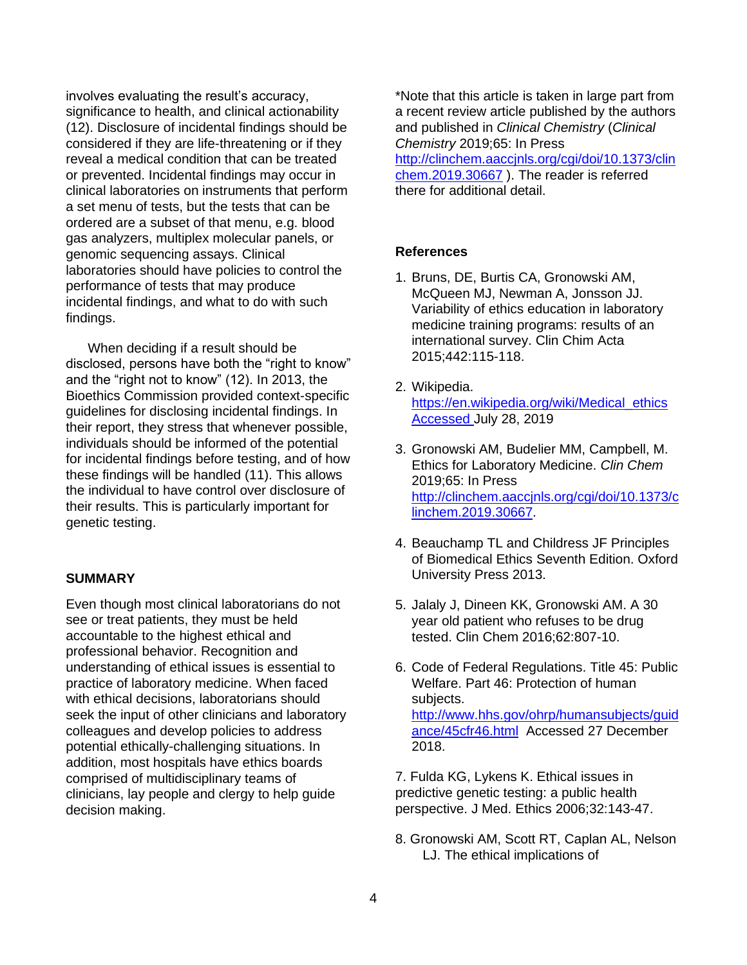involves evaluating the result's accuracy, significance to health, and clinical actionability (12). Disclosure of incidental findings should be considered if they are life-threatening or if they reveal a medical condition that can be treated or prevented. Incidental findings may occur in clinical laboratories on instruments that perform a set menu of tests, but the tests that can be ordered are a subset of that menu, e.g. blood gas analyzers, multiplex molecular panels, or genomic sequencing assays. Clinical laboratories should have policies to control the performance of tests that may produce incidental findings, and what to do with such findings.

When deciding if a result should be disclosed, persons have both the "right to know" and the "right not to know" (12). In 2013, the Bioethics Commission provided context-specific guidelines for disclosing incidental findings. In their report, they stress that whenever possible, individuals should be informed of the potential for incidental findings before testing, and of how these findings will be handled (11). This allows the individual to have control over disclosure of their results. This is particularly important for genetic testing.

#### **SUMMARY**

Even though most clinical laboratorians do not see or treat patients, they must be held accountable to the highest ethical and professional behavior. Recognition and understanding of ethical issues is essential to practice of laboratory medicine. When faced with ethical decisions, laboratorians should seek the input of other clinicians and laboratory colleagues and develop policies to address potential ethically-challenging situations. In addition, most hospitals have ethics boards comprised of multidisciplinary teams of clinicians, lay people and clergy to help guide decision making.

\*Note that this article is taken in large part from a recent review article published by the authors and published in *Clinical Chemistry* (*Clinical Chemistry* 2019;65: In Press [http://clinchem.aaccjnls.org/cgi/doi/10.1373/clin](http://clinchem.aaccjnls.org/cgi/doi/10.1373/clinchem.2019.30667) [chem.2019.30667](http://clinchem.aaccjnls.org/cgi/doi/10.1373/clinchem.2019.30667) ). The reader is referred there for additional detail.

#### **References**

- 1. Bruns, DE, Burtis CA, Gronowski AM, McQueen MJ, Newman A, Jonsson JJ. Variability of ethics education in laboratory medicine training programs: results of an international survey. Clin Chim Acta 2015;442:115-118.
- 2. Wikipedia. [https://en.wikipedia.org/wiki/Medical\\_ethics](https://en.wikipedia.org/wiki/Medical_ethics) Accessed July 28, 2019
- 3. Gronowski AM, Budelier MM, Campbell, M. Ethics for Laboratory Medicine. *Clin Chem* 2019;65: In Press [http://clinchem.aaccjnls.org/cgi/doi/10.1373/c](http://clinchem.aaccjnls.org/cgi/doi/10.1373/clinchem.2019.30667) [linchem.2019.30667.](http://clinchem.aaccjnls.org/cgi/doi/10.1373/clinchem.2019.30667)
- 4. Beauchamp TL and Childress JF Principles of Biomedical Ethics Seventh Edition. Oxford University Press 2013.
- 5. Jalaly J, Dineen KK, Gronowski AM. A 30 year old patient who refuses to be drug tested. Clin Chem 2016;62:807-10.
- 6. Code of Federal Regulations. Title 45: Public Welfare. Part 46: Protection of human subjects. [http://www.hhs.gov/ohrp/humansubjects/guid](http://www.hhs.gov/ohrp/humansubjects/guidance/45cfr46.html) [ance/45cfr46.html](http://www.hhs.gov/ohrp/humansubjects/guidance/45cfr46.html) Accessed 27 December 2018.

7. Fulda KG, Lykens K. Ethical issues in predictive genetic testing: a public health perspective. J Med. Ethics 2006;32:143-47.

8. Gronowski AM, Scott RT, Caplan AL, Nelson LJ. The ethical implications of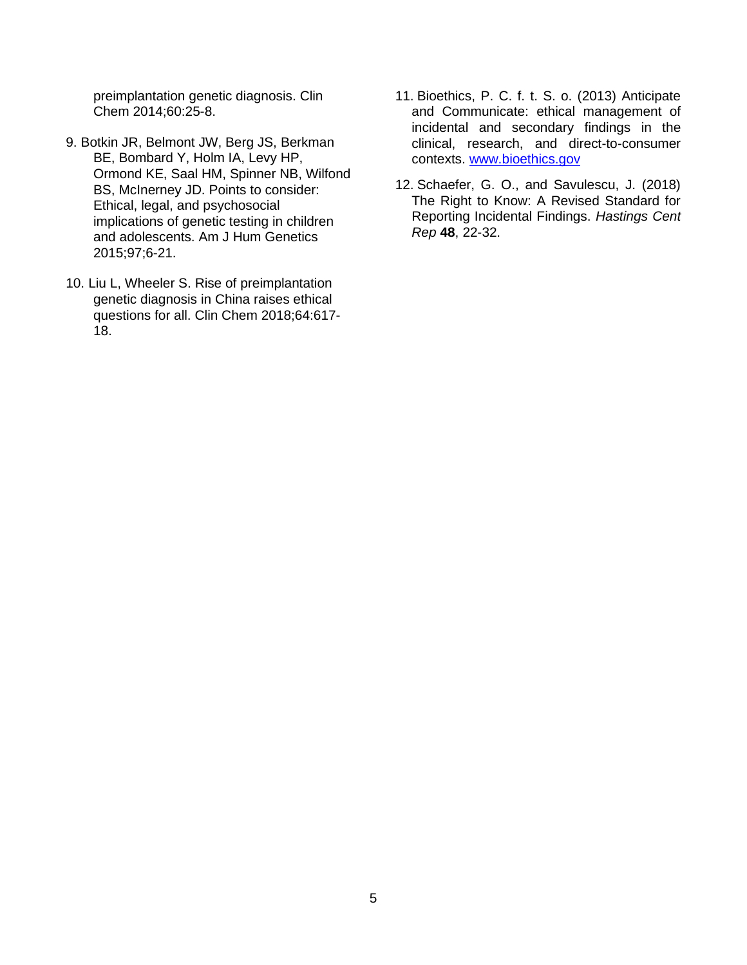preimplantation genetic diagnosis. Clin Chem 2014;60:25-8.

- 9. Botkin JR, Belmont JW, Berg JS, Berkman BE, Bombard Y, Holm IA, Levy HP, Ormond KE, Saal HM, Spinner NB, Wilfond BS, McInerney JD. Points to consider: Ethical, legal, and psychosocial implications of genetic testing in children and adolescents. Am J Hum Genetics 2015;97;6-21.
- 10. Liu L, Wheeler S. Rise of preimplantation genetic diagnosis in China raises ethical questions for all. Clin Chem 2018;64:617- 18.
- 11. Bioethics, P. C. f. t. S. o. (2013) Anticipate and Communicate: ethical management of incidental and secondary findings in the clinical, research, and direct-to-consumer contexts. [www.bioethics.gov](file:///C:/Users/Ann%20Gronowski/AppData/Local/Microsoft/Windows/INetCache/Content.Outlook/YYVKTLKZ/www.bioethics.gov)
- 12. Schaefer, G. O., and Savulescu, J. (2018) The Right to Know: A Revised Standard for Reporting Incidental Findings. *Hastings Cent Rep* **48**, 22-32.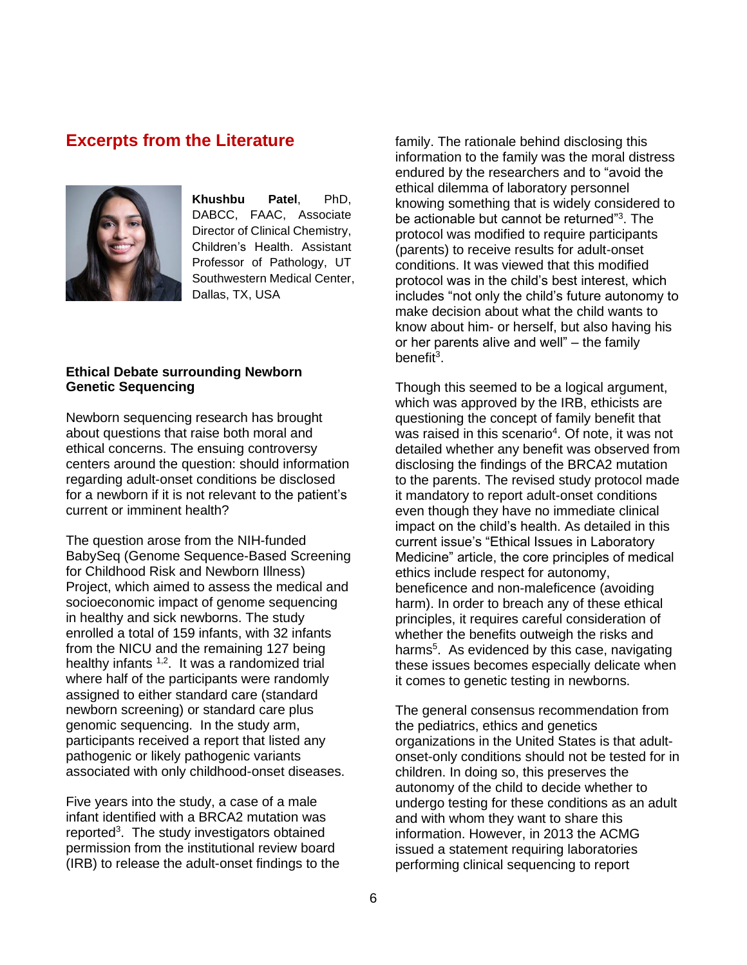### **Excerpts from the Literature**



**Khushbu Patel**, PhD, DABCC, FAAC, Associate Director of Clinical Chemistry, Children's Health. Assistant Professor of Pathology, UT Southwestern Medical Center, Dallas, TX, USA

#### **Ethical Debate surrounding Newborn Genetic Sequencing**

Newborn sequencing research has brought about questions that raise both moral and ethical concerns. The ensuing controversy centers around the question: should information regarding adult-onset conditions be disclosed for a newborn if it is not relevant to the patient's current or imminent health?

The question arose from the NIH-funded BabySeq (Genome Sequence-Based Screening for Childhood Risk and Newborn Illness) Project, which aimed to assess the medical and socioeconomic impact of genome sequencing in healthy and sick newborns. The study enrolled a total of 159 infants, with 32 infants from the NICU and the remaining 127 being healthy infants <sup>1,2</sup>. It was a randomized trial where half of the participants were randomly assigned to either standard care (standard newborn screening) or standard care plus genomic sequencing. In the study arm, participants received a report that listed any pathogenic or likely pathogenic variants associated with only childhood-onset diseases.

Five years into the study, a case of a male infant identified with a BRCA2 mutation was reported<sup>3</sup>. The study investigators obtained permission from the institutional review board (IRB) to release the adult-onset findings to the family. The rationale behind disclosing this information to the family was the moral distress endured by the researchers and to "avoid the ethical dilemma of laboratory personnel knowing something that is widely considered to be actionable but cannot be returned"<sup>3</sup> . The protocol was modified to require participants (parents) to receive results for adult-onset conditions. It was viewed that this modified protocol was in the child's best interest, which includes "not only the child's future autonomy to make decision about what the child wants to know about him- or herself, but also having his or her parents alive and well" – the family benefit<sup>3</sup>.

Though this seemed to be a logical argument, which was approved by the IRB, ethicists are questioning the concept of family benefit that was raised in this scenario<sup>4</sup>. Of note, it was not detailed whether any benefit was observed from disclosing the findings of the BRCA2 mutation to the parents. The revised study protocol made it mandatory to report adult-onset conditions even though they have no immediate clinical impact on the child's health. As detailed in this current issue's "Ethical Issues in Laboratory Medicine" article, the core principles of medical ethics include respect for autonomy, beneficence and non-maleficence (avoiding harm). In order to breach any of these ethical principles, it requires careful consideration of whether the benefits outweigh the risks and harms<sup>5</sup>. As evidenced by this case, navigating these issues becomes especially delicate when it comes to genetic testing in newborns.

The general consensus recommendation from the pediatrics, ethics and genetics organizations in the United States is that adultonset-only conditions should not be tested for in children. In doing so, this preserves the autonomy of the child to decide whether to undergo testing for these conditions as an adult and with whom they want to share this information. However, in 2013 the ACMG issued a statement requiring laboratories performing clinical sequencing to report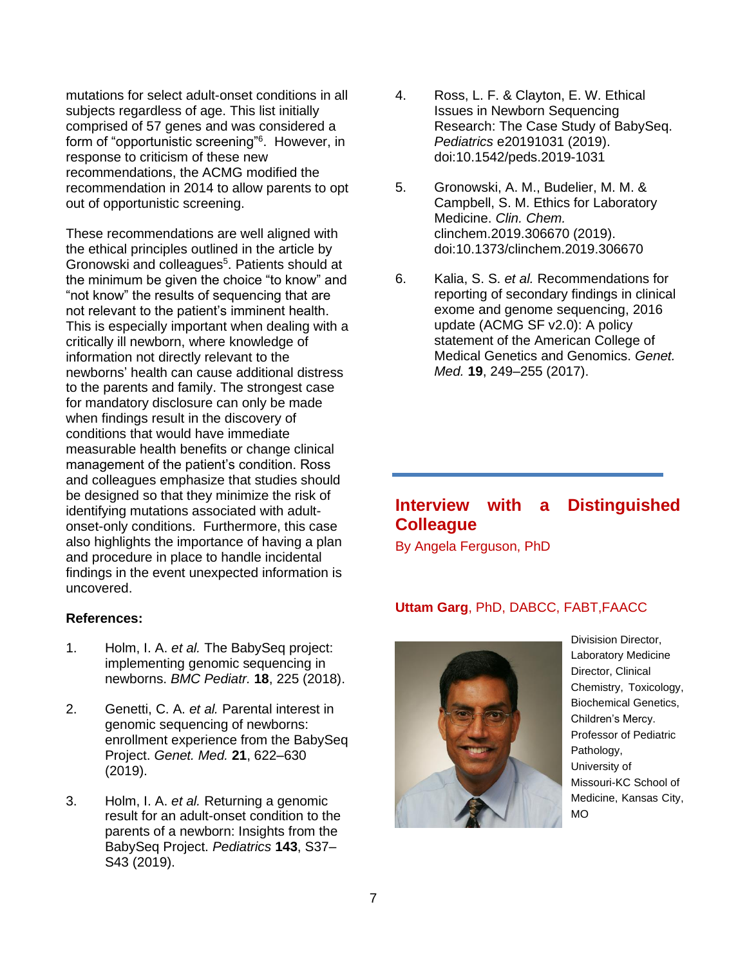mutations for select adult-onset conditions in all subjects regardless of age. This list initially comprised of 57 genes and was considered a form of "opportunistic screening"<sup>6</sup>. However, in response to criticism of these new recommendations, the ACMG modified the recommendation in 2014 to allow parents to opt out of opportunistic screening.

These recommendations are well aligned with the ethical principles outlined in the article by Gronowski and colleagues<sup>5</sup>. Patients should at the minimum be given the choice "to know" and "not know" the results of sequencing that are not relevant to the patient's imminent health. This is especially important when dealing with a critically ill newborn, where knowledge of information not directly relevant to the newborns' health can cause additional distress to the parents and family. The strongest case for mandatory disclosure can only be made when findings result in the discovery of conditions that would have immediate measurable health benefits or change clinical management of the patient's condition. Ross and colleagues emphasize that studies should be designed so that they minimize the risk of identifying mutations associated with adultonset-only conditions. Furthermore, this case also highlights the importance of having a plan and procedure in place to handle incidental findings in the event unexpected information is uncovered.

#### **References:**

- 1. Holm, I. A. *et al.* The BabySeq project: implementing genomic sequencing in newborns. *BMC Pediatr.* **18**, 225 (2018).
- 2. Genetti, C. A. *et al.* Parental interest in genomic sequencing of newborns: enrollment experience from the BabySeq Project. *Genet. Med.* **21**, 622–630 (2019).
- 3. Holm, I. A. *et al.* Returning a genomic result for an adult-onset condition to the parents of a newborn: Insights from the BabySeq Project. *Pediatrics* **143**, S37– S43 (2019).
- 4. Ross, L. F. & Clayton, E. W. Ethical Issues in Newborn Sequencing Research: The Case Study of BabySeq. *Pediatrics* e20191031 (2019). doi:10.1542/peds.2019-1031
- 5. Gronowski, A. M., Budelier, M. M. & Campbell, S. M. Ethics for Laboratory Medicine. *Clin. Chem.* clinchem.2019.306670 (2019). doi:10.1373/clinchem.2019.306670
- 6. Kalia, S. S. *et al.* Recommendations for reporting of secondary findings in clinical exome and genome sequencing, 2016 update (ACMG SF v2.0): A policy statement of the American College of Medical Genetics and Genomics. *Genet. Med.* **19**, 249–255 (2017).

# **Interview with a Distinguished Colleague**

By Angela Ferguson, PhD

#### **Uttam Garg**, PhD, DABCC, FABT,FAACC



Divisision Director, Laboratory Medicine Director, Clinical Chemistry, Toxicology, Biochemical Genetics, Children's Mercy. Professor of Pediatric Pathology, University of Missouri-KC School of Medicine, Kansas City, MO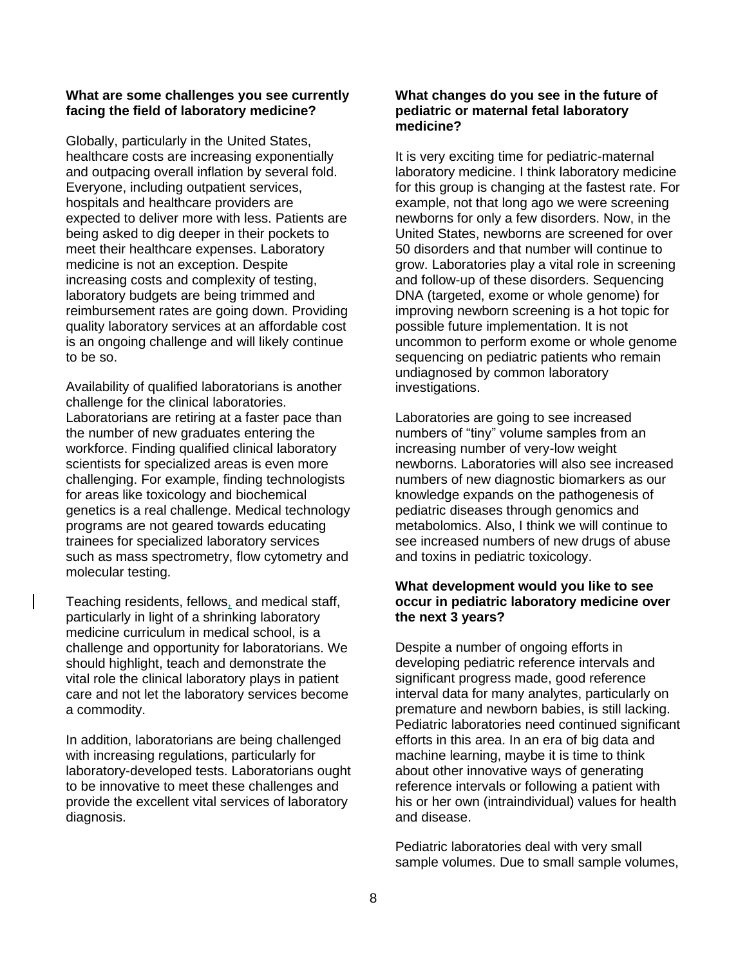#### **What are some challenges you see currently facing the field of laboratory medicine?**

Globally, particularly in the United States, healthcare costs are increasing exponentially and outpacing overall inflation by several fold. Everyone, including outpatient services, hospitals and healthcare providers are expected to deliver more with less. Patients are being asked to dig deeper in their pockets to meet their healthcare expenses. Laboratory medicine is not an exception. Despite increasing costs and complexity of testing, laboratory budgets are being trimmed and reimbursement rates are going down. Providing quality laboratory services at an affordable cost is an ongoing challenge and will likely continue to be so.

Availability of qualified laboratorians is another challenge for the clinical laboratories. Laboratorians are retiring at a faster pace than the number of new graduates entering the workforce. Finding qualified clinical laboratory scientists for specialized areas is even more challenging. For example, finding technologists for areas like toxicology and biochemical genetics is a real challenge. Medical technology programs are not geared towards educating trainees for specialized laboratory services such as mass spectrometry, flow cytometry and molecular testing.

Teaching residents, fellows, and medical staff, particularly in light of a shrinking laboratory medicine curriculum in medical school, is a challenge and opportunity for laboratorians. We should highlight, teach and demonstrate the vital role the clinical laboratory plays in patient care and not let the laboratory services become a commodity.

In addition, laboratorians are being challenged with increasing regulations, particularly for laboratory-developed tests. Laboratorians ought to be innovative to meet these challenges and provide the excellent vital services of laboratory diagnosis.

#### **What changes do you see in the future of pediatric or maternal fetal laboratory medicine?**

It is very exciting time for pediatric-maternal laboratory medicine. I think laboratory medicine for this group is changing at the fastest rate. For example, not that long ago we were screening newborns for only a few disorders. Now, in the United States, newborns are screened for over 50 disorders and that number will continue to grow. Laboratories play a vital role in screening and follow-up of these disorders. Sequencing DNA (targeted, exome or whole genome) for improving newborn screening is a hot topic for possible future implementation. It is not uncommon to perform exome or whole genome sequencing on pediatric patients who remain undiagnosed by common laboratory investigations.

Laboratories are going to see increased numbers of "tiny" volume samples from an increasing number of very-low weight newborns. Laboratories will also see increased numbers of new diagnostic biomarkers as our knowledge expands on the pathogenesis of pediatric diseases through genomics and metabolomics. Also, I think we will continue to see increased numbers of new drugs of abuse and toxins in pediatric toxicology.

#### **What development would you like to see occur in pediatric laboratory medicine over the next 3 years?**

Despite a number of ongoing efforts in developing pediatric reference intervals and significant progress made, good reference interval data for many analytes, particularly on premature and newborn babies, is still lacking. Pediatric laboratories need continued significant efforts in this area. In an era of big data and machine learning, maybe it is time to think about other innovative ways of generating reference intervals or following a patient with his or her own (intraindividual) values for health and disease.

Pediatric laboratories deal with very small sample volumes. Due to small sample volumes,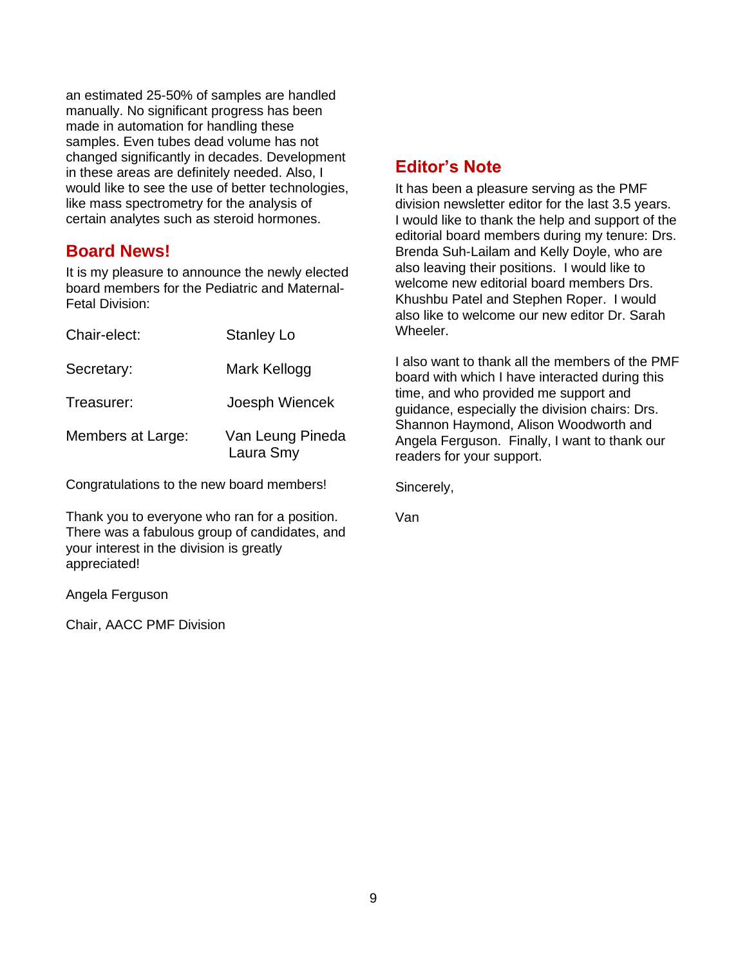an estimated 25-50% of samples are handled manually. No significant progress has been made in automation for handling these samples. Even tubes dead volume has not changed significantly in decades. Development in these areas are definitely needed. Also, I would like to see the use of better technologies, like mass spectrometry for the analysis of certain analytes such as steroid hormones.

# **Board News!**

It is my pleasure to announce the newly elected board members for the Pediatric and Maternal-Fetal Division:

| <b>Stanley Lo</b>             |
|-------------------------------|
| Mark Kellogg                  |
| Joesph Wiencek                |
| Van Leung Pineda<br>Laura Smy |
|                               |

Congratulations to the new board members!

Thank you to everyone who ran for a position. There was a fabulous group of candidates, and your interest in the division is greatly appreciated!

Angela Ferguson

Chair, AACC PMF Division

# **Editor's Note**

It has been a pleasure serving as the PMF division newsletter editor for the last 3.5 years. I would like to thank the help and support of the editorial board members during my tenure: Drs. Brenda Suh-Lailam and Kelly Doyle, who are also leaving their positions. I would like to welcome new editorial board members Drs. Khushbu Patel and Stephen Roper. I would also like to welcome our new editor Dr. Sarah Wheeler.

I also want to thank all the members of the PMF board with which I have interacted during this time, and who provided me support and guidance, especially the division chairs: Drs. Shannon Haymond, Alison Woodworth and Angela Ferguson. Finally, I want to thank our readers for your support.

Sincerely,

Van